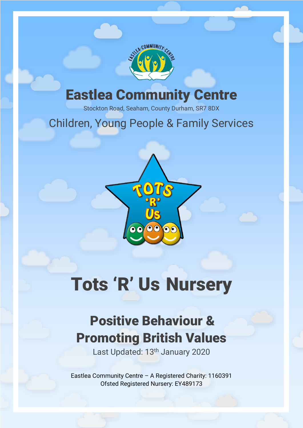

## Eastlea Community Centre

Stockton Road, Seaham, County Durham, SR7 8DX

### Children, Young People & Family Services



# Tots 'R' Us Nursery

# Positive Behaviour & Promoting British Values

Last Updated: 13<sup>th</sup> January 2020

Eastlea Community Centre – A Registered Charity: 1160391 Ofsted Registered Nursery: EY489173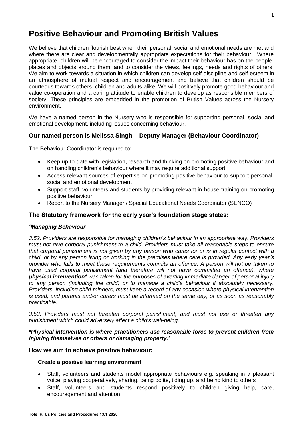#### **Positive Behaviour and Promoting British Values**

We believe that children flourish best when their personal, social and emotional needs are met and where there are clear and developmentally appropriate expectations for their behaviour. Where appropriate, children will be encouraged to consider the impact their behaviour has on the people, places and objects around them; and to consider the views, feelings, needs and rights of others. We aim to work towards a situation in which children can develop self-discipline and self-esteem in an atmosphere of mutual respect and encouragement and believe that children should be courteous towards others, children and adults alike. We will positively promote good behaviour and value co-operation and a caring attitude to enable children to develop as responsible members of society. These principles are embedded in the promotion of British Values across the Nursery environment.

We have a named person in the Nursery who is responsible for supporting personal, social and emotional development, including issues concerning behaviour.

#### **Our named person is Melissa Singh – Deputy Manager (Behaviour Coordinator)**

The Behaviour Coordinator is required to:

- Keep up-to-date with legislation, research and thinking on promoting positive behaviour and on handling children's behaviour where it may require additional support
- Access relevant sources of expertise on promoting positive behaviour to support personal, social and emotional development
- Support staff, volunteers and students by providing relevant in-house training on promoting positive behaviour
- Report to the Nursery Manager / Special Educational Needs Coordinator (SENCO)

#### **The Statutory framework for the early year's foundation stage states:**

#### *'Managing Behaviour*

*3.52. Providers are responsible for managing children's behaviour in an appropriate way. Providers must not give corporal punishment to a child. Providers must take all reasonable steps to ensure that corporal punishment is not given by any person who cares for or is in regular contact with a child, or by any person living or working in the premises where care is provided. Any early year's provider who fails to meet these requirements commits an offence. A person will not be taken to*  have used corporal punishment (and therefore will not have committed an offence), where *physical intervention\* was taken for the purposes of averting immediate danger of personal injury to any person (including the child) or to manage a child's behaviour if absolutely necessary. Providers, including child-minders, must keep a record of any occasion where physical intervention is used, and parents and/or carers must be informed on the same day, or as soon as reasonably practicable.* 

*3.53. Providers must not threaten corporal punishment, and must not use or threaten any punishment which could adversely affect a child's well-being.*

#### *\*Physical intervention is where practitioners use reasonable force to prevent children from injuring themselves or others or damaging property.'*

#### **How we aim to achieve positive behaviour:**

#### **Create a positive learning environment**

- Staff, volunteers and students model appropriate behaviours e.g. speaking in a pleasant voice, playing cooperatively, sharing, being polite, tiding up, and being kind to others
- Staff, volunteers and students respond positively to children giving help, care, encouragement and attention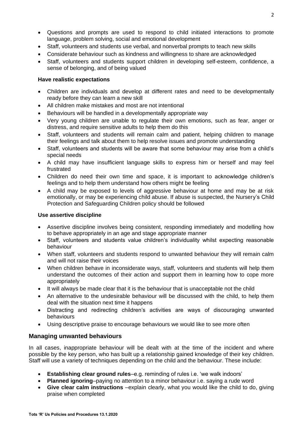- Questions and prompts are used to respond to child initiated interactions to promote language, problem solving, social and emotional development
- Staff, volunteers and students use verbal, and nonverbal prompts to teach new skills
- Considerate behaviour such as kindness and willingness to share are acknowledged
- Staff, volunteers and students support children in developing self-esteem, confidence, a sense of belonging, and of being valued

#### **Have realistic expectations**

- Children are individuals and develop at different rates and need to be developmentally ready before they can learn a new skill
- All children make mistakes and most are not intentional
- Behaviours will be handled in a developmentally appropriate way
- Very young children are unable to regulate their own emotions, such as fear, anger or distress, and require sensitive adults to help them do this
- Staff, volunteers and students will remain calm and patient, helping children to manage their feelings and talk about them to help resolve issues and promote understanding
- Staff, volunteers and students will be aware that some behaviour may arise from a child's special needs
- A child may have insufficient language skills to express him or herself and may feel frustrated
- Children do need their own time and space, it is important to acknowledge children's feelings and to help them understand how others might be feeling
- A child may be exposed to levels of aggressive behaviour at home and may be at risk emotionally, or may be experiencing child abuse. If abuse is suspected, the Nursery's Child Protection and Safeguarding Children policy should be followed

#### **Use assertive discipline**

- Assertive discipline involves being consistent, responding immediately and modelling how to behave appropriately in an age and stage appropriate manner
- Staff, volunteers and students value children's individuality whilst expecting reasonable behaviour
- When staff, volunteers and students respond to unwanted behaviour they will remain calm and will not raise their voices
- When children behave in inconsiderate ways, staff, volunteers and students will help them understand the outcomes of their action and support them in learning how to cope more appropriately
- It will always be made clear that it is the behaviour that is unacceptable not the child
- An alternative to the undesirable behaviour will be discussed with the child, to help them deal with the situation next time it happens
- Distracting and redirecting children's activities are ways of discouraging unwanted behaviours
- Using descriptive praise to encourage behaviours we would like to see more often

#### **Managing unwanted behaviours**

In all cases, inappropriate behaviour will be dealt with at the time of the incident and where possible by the key person, who has built up a relationship gained knowledge of their key children. Staff will use a variety of techniques depending on the child and the behaviour. These include:

- **Establishing clear ground rules**–e.g. reminding of rules i.e. 'we walk indoors'
- **Planned ignoring**–paying no attention to a minor behaviour i.e. saying a rude word
- **Give clear calm instructions** –explain clearly, what you would like the child to do, giving praise when completed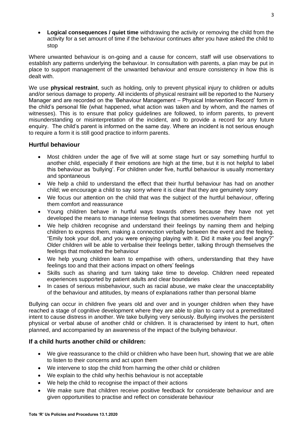• **Logical consequences / quiet time** withdrawing the activity or removing the child from the activity for a set amount of time if the behaviour continues after you have asked the child to stop

Where unwanted behaviour is on-going and a cause for concern, staff will use observations to establish any patterns underlying the behaviour. In consultation with parents, a plan may be put in place to support management of the unwanted behaviour and ensure consistency in how this is dealt with.

We use **physical restraint**, such as holding, only to prevent physical injury to children or adults and/or serious damage to property. All incidents of physical restraint will be reported to the Nursery Manager and are recorded on the 'Behaviour Management – Physical Intervention Record' form in the child's personal file (what happened, what action was taken and by whom, and the names of witnesses). This is to ensure that policy guidelines are followed, to inform parents, to prevent misunderstanding or misinterpretation of the incident, and to provide a record for any future enquiry. The child's parent is informed on the same day. Where an incident is not serious enough to require a form it is still good practice to inform parents.

#### **Hurtful behaviour**

- Most children under the age of five will at some stage hurt or say something hurtful to another child, especially if their emotions are high at the time, but it is not helpful to label this behaviour as 'bullying'. For children under five, hurtful behaviour is usually momentary and spontaneous
- We help a child to understand the effect that their hurtful behaviour has had on another child; we encourage a child to say sorry where it is clear that they are genuinely sorry
- We focus our attention on the child that was the subject of the hurtful behaviour, offering them comfort and reassurance
- Young children behave in hurtful ways towards others because they have not yet developed the means to manage intense feelings that sometimes overwhelm them
- We help children recognise and understand their feelings by naming them and helping children to express them, making a connection verbally between the event and the feeling. "Emily took your doll, and you were enjoying playing with it. Did it make you feel angry?" Older children will be able to verbalise their feelings better, talking through themselves the feelings that motivated the behaviour
- We help young children learn to empathise with others, understanding that they have feelings too and that their actions impact on others' feelings
- Skills such as sharing and turn taking take time to develop. Children need repeated experiences supported by patient adults and clear boundaries
- In cases of serious misbehaviour, such as racial abuse, we make clear the unacceptability of the behaviour and attitudes, by means of explanations rather than personal blame

Bullying can occur in children five years old and over and in younger children when they have reached a stage of cognitive development where they are able to plan to carry out a premeditated intent to cause distress in another. We take bullying very seriously. Bullying involves the persistent physical or verbal abuse of another child or children. It is characterised by intent to hurt, often planned, and accompanied by an awareness of the impact of the bullying behaviour.

#### **If a child hurts another child or children:**

- We give reassurance to the child or children who have been hurt, showing that we are able to listen to their concerns and act upon them
- We intervene to stop the child from harming the other child or children
- We explain to the child why her/his behaviour is not acceptable
- We help the child to recognise the impact of their actions
- We make sure that children receive positive feedback for considerate behaviour and are given opportunities to practise and reflect on considerate behaviour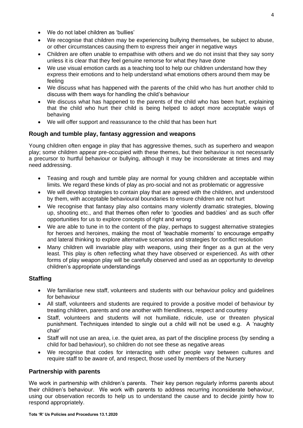- We do not label children as 'bullies'
- We recognise that children may be experiencing bullying themselves, be subject to abuse, or other circumstances causing them to express their anger in negative ways
- Children are often unable to empathise with others and we do not insist that they say sorry unless it is clear that they feel genuine remorse for what they have done
- We use visual emotion cards as a teaching tool to help our children understand how they express their emotions and to help understand what emotions others around them may be feeling
- We discuss what has happened with the parents of the child who has hurt another child to discuss with them ways for handling the child's behaviour
- We discuss what has happened to the parents of the child who has been hurt, explaining that the child who hurt their child is being helped to adopt more acceptable ways of behaving
- We will offer support and reassurance to the child that has been hurt

#### **Rough and tumble play, fantasy aggression and weapons**

Young children often engage in play that has aggressive themes, such as superhero and weapon play; some children appear pre-occupied with these themes, but their behaviour is not necessarily a precursor to hurtful behaviour or bullying, although it may be inconsiderate at times and may need addressing.

- Teasing and rough and tumble play are normal for young children and acceptable within limits. We regard these kinds of play as pro-social and not as problematic or aggressive
- We will develop strategies to contain play that are agreed with the children, and understood by them, with acceptable behavioural boundaries to ensure children are not hurt
- We recognise that fantasy play also contains many violently dramatic strategies, blowing up, shooting etc., and that themes often refer to 'goodies and baddies' and as such offer opportunities for us to explore concepts of right and wrong
- We are able to tune in to the content of the play, perhaps to suggest alternative strategies for heroes and heroines, making the most of 'teachable moments' to encourage empathy and lateral thinking to explore alternative scenarios and strategies for conflict resolution
- Many children will invariable play with weapons, using their finger as a gun at the very least. This play is often reflecting what they have observed or experienced. As with other forms of play weapon play will be carefully observed and used as an opportunity to develop children's appropriate understandings

#### **Staffing**

- We familiarise new staff, volunteers and students with our behaviour policy and guidelines for behaviour
- All staff, volunteers and students are required to provide a positive model of behaviour by treating children, parents and one another with friendliness, respect and courtesy
- Staff, volunteers and students will not humiliate, ridicule, use or threaten physical punishment. Techniques intended to single out a child will not be used e.g. A 'naughty chair'
- Staff will not use an area, i.e. the quiet area, as part of the discipline process (by sending a child for bad behaviour), so children do not see these as negative areas
- We recognise that codes for interacting with other people vary between cultures and require staff to be aware of, and respect, those used by members of the Nursery

#### **Partnership with parents**

We work in partnership with children's parents. Their key person regularly informs parents about their children's behaviour. We work with parents to address recurring inconsiderate behaviour, using our observation records to help us to understand the cause and to decide jointly how to respond appropriately.

 $\Delta$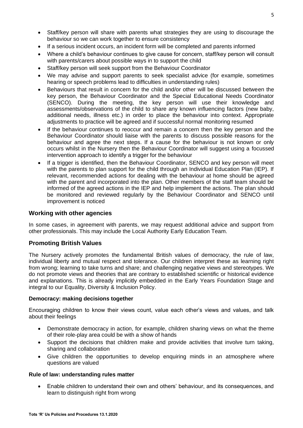- Staff/key person will share with parents what strategies they are using to discourage the behaviour so we can work together to ensure consistency
- If a serious incident occurs, an incident form will be completed and parents informed
- Where a child's behaviour continues to give cause for concern, staff/key person will consult with parents/carers about possible ways in to support the child
- Staff/key person will seek support from the Behaviour Coordinator
- We may advise and support parents to seek specialist advice (for example, sometimes hearing or speech problems lead to difficulties in understanding rules)
- Behaviours that result in concern for the child and/or other will be discussed between the key person, the Behaviour Coordinator and the Special Educational Needs Coordinator (SENCO). During the meeting, the key person will use their knowledge and assessments/observations of the child to share any known influencing factors (new baby, additional needs, illness etc.) in order to place the behaviour into context. Appropriate adjustments to practice will be agreed and if successful normal monitoring resumed
- If the behaviour continues to reoccur and remain a concern then the key person and the Behaviour Coordinator should liaise with the parents to discuss possible reasons for the behaviour and agree the next steps. If a cause for the behaviour is not known or only occurs whilst in the Nursery then the Behaviour Coordinator will suggest using a focussed intervention approach to identify a trigger for the behaviour
- If a trigger is identified, then the Behaviour Coordinator, SENCO and key person will meet with the parents to plan support for the child through an Individual Education Plan (IEP). If relevant, recommended actions for dealing with the behaviour at home should be agreed with the parent and incorporated into the plan. Other members of the staff team should be informed of the agreed actions in the IEP and help implement the actions. The plan should be monitored and reviewed regularly by the Behaviour Coordinator and SENCO until improvement is noticed

#### **Working with other agencies**

In some cases, in agreement with parents, we may request additional advice and support from other professionals. This may include the Local Authority Early Education Team.

#### **Promoting British Values**

The Nursery actively promotes the fundamental British values of democracy, the rule of law, individual liberty and mutual respect and tolerance. Our children interpret these as learning right from wrong; learning to take turns and share; and challenging negative views and stereotypes. We do not promote views and theories that are contrary to established scientific or historical evidence and explanations. This is already implicitly embedded in the Early Years Foundation Stage and integral to our Equality, Diversity & Inclusion Policy.

#### **Democracy: making decisions together**

Encouraging children to know their views count, value each other's views and values, and talk about their feelings

- Demonstrate democracy in action, for example, children sharing views on what the theme of their role-play area could be with a show of hands
- Support the decisions that children make and provide activities that involve turn taking, sharing and collaboration
- Give children the opportunities to develop enquiring minds in an atmosphere where questions are valued

#### **Rule of law: understanding rules matter**

• Enable children to understand their own and others' behaviour, and its consequences, and learn to distinguish right from wrong